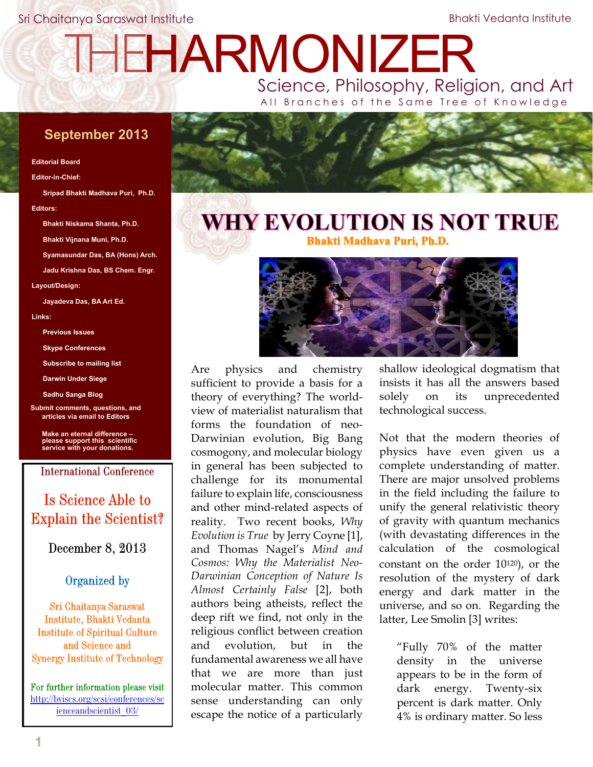Sri Chaitanya Saraswat Institute

Bhakti Vedanta Institute

# THE[HARMONIZER](http://www.mahaprabhu.net/satsanga/harmonizer)

Science, Philosophy, Religion, and Art All Branches of the Same Tree of Knowledge

# **September 2013**

#### **Editorial Board**

#### **Editor-in-Chief:**

**Sripad Bhakti Madhava Puri, Ph.D. Editors:**

**Bhakti Niskama Shanta, Ph.D.**

**Bhakti Vijnana Muni, Ph.D.**

**Syamasundar Das, BA (Hons) Arch.**

**Jadu Krishna Das, BS Chem. Engr.**

**Layout/Design:**

**Jayadeva Das, BA Art Ed.**

**Links:**

**[Previous Issues](http://www.mahaprabhu.net/satsanga/harmonizer)**

**[Skype Conferences](http://mahaprabhu.net/satsanga/about/#instructions)**

**[Subscribe to mailing list](http://www.scienceandscientist.org/lists.html)**

**[Darwin Under Siege](http://scienceandscientist.org/Darwin)**

**[Sadhu Sanga Blog](http://mahaprabhu.net/satsanga)**

**[Submit comments, questions, and](mailto:editors@scienceandscientist.org) articles via email to Editors**

**Make an eternal difference – [please support this scientific](http://scienceandscientist.org/donate.html) service with your donations.**

**International Conference** 

# Is Science Able to **Explain the Scientist?**

December 8, 2013

# Organized by

Sri Chaitanya Saraswat Institute, Bhakti Vedanta **Institute of Spiritual Culture** and Science and **Synergy Institute of Technology** 

For further information please visit [http://bviscs.org/scsi/conferences/sc](http://bviscs.org/scsi/conferences/scienceandscientist_03) [ienceandscientist\\_03](http://bviscs.org/scsi/conferences/scienceandscientist_03/)[/](http://bviscs.org/scsi/conferences/scienceandscientist_03/)



# **WHY EVOLUTION IS NOT TRUE Bhakti Madhava Puri, Ph.D.**



Are physics and chemistry sufficient to provide a basis for a theory of everything? The worldview of materialist naturalism that forms the foundation of neo-Darwinian evolution, Big Bang cosmogony, and molecular biology in general has been subjected to challenge for its monumental failure to explain life, consciousness and other mind-related aspects of reality. Two recent books, *Why Evolution is True* by Jerry Coyne [1], and Thomas Nagel's *Mind and Cosmos: Why the Materialist Neo-Darwinian Conception of Nature Is Almost Certainly False* [2], both authors being atheists, reflect the deep rift we find, not only in the religious conflict between creation and evolution, but in the fundamental awareness we all have that we are more than just molecular matter. This common sense understanding can only escape the notice of a particularly

shallow ideological dogmatism that insists it has all the answers based solely on its unprecedented technological success.

Not that the modern theories of physics have even given us a complete understanding of matter. There are major unsolved problems in the field including the failure to unify the general relativistic theory of gravity with quantum mechanics (with devastating differences in the calculation of the cosmological constant on the order 10120), or the resolution of the mystery of dark energy and dark matter in the universe, and so on. Regarding the latter, Lee Smolin [3] writes:

"Fully 70% of the matter density in the universe appears to be in the form of dark energy. Twenty-six percent is dark matter. Only 4% is ordinary matter. So less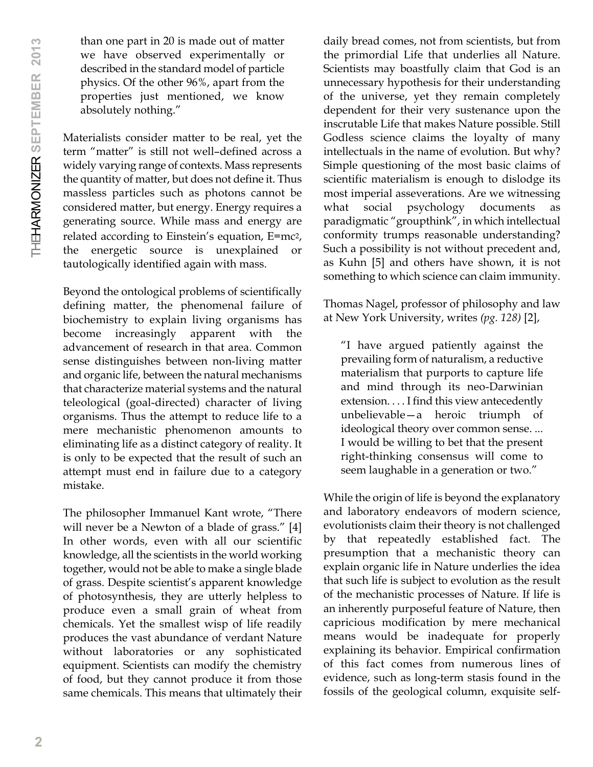than one part in 20 is made out of matter we have observed experimentally or described in the standard model of particle physics. Of the other 96%, apart from the properties just mentioned, we know absolutely nothing."

Materialists consider matter to be real, yet the term "matter" is still not well–defined across a widely varying range of contexts. Mass represents the quantity of matter, but does not define it. Thus massless particles such as photons cannot be considered matter, but energy. Energy requires a generating source. While mass and energy are related according to Einstein's equation, E=mc2, the energetic source is unexplained or tautologically identified again with mass.

Beyond the ontological problems of scientifically defining matter, the phenomenal failure of biochemistry to explain living organisms has become increasingly apparent with the advancement of research in that area. Common sense distinguishes between non-living matter and organic life, between the natural mechanisms that characterize material systems and the natural teleological (goal-directed) character of living organisms. Thus the attempt to reduce life to a mere mechanistic phenomenon amounts to eliminating life as a distinct category of reality. It is only to be expected that the result of such an attempt must end in failure due to a category mistake.

The philosopher Immanuel Kant wrote, "There will never be a Newton of a blade of grass." [4] In other words, even with all our scientific knowledge, all the scientists in the world working together, would not be able to make a single blade of grass. Despite scientist's apparent knowledge of photosynthesis, they are utterly helpless to produce even a small grain of wheat from chemicals. Yet the smallest wisp of life readily produces the vast abundance of verdant Nature without laboratories or any sophisticated equipment. Scientists can modify the chemistry of food, but they cannot produce it from those same chemicals. This means that ultimately their daily bread comes, not from scientists, but from the primordial Life that underlies all Nature. Scientists may boastfully claim that God is an unnecessary hypothesis for their understanding of the universe, yet they remain completely dependent for their very sustenance upon the inscrutable Life that makes Nature possible. Still Godless science claims the loyalty of many intellectuals in the name of evolution. But why? Simple questioning of the most basic claims of scientific materialism is enough to dislodge its most imperial asseverations. Are we witnessing what social psychology documents as paradigmatic "groupthink", in which intellectual conformity trumps reasonable understanding? Such a possibility is not without precedent and, as Kuhn [5] and others have shown, it is not something to which science can claim immunity.

Thomas Nagel, professor of philosophy and law at New York University, writes *(pg. 128)* [2],

"I have argued patiently against the prevailing form of naturalism, a reductive materialism that purports to capture life and mind through its neo-Darwinian extension. . . . I find this view antecedently unbelievable—a heroic triumph of ideological theory over common sense. ... I would be willing to bet that the present right-thinking consensus will come to seem laughable in a generation or two."

While the origin of life is beyond the explanatory and laboratory endeavors of modern science, evolutionists claim their theory is not challenged by that repeatedly established fact. The presumption that a mechanistic theory can explain organic life in Nature underlies the idea that such life is subject to evolution as the result of the mechanistic processes of Nature. If life is an inherently purposeful feature of Nature, then capricious modification by mere mechanical means would be inadequate for properly explaining its behavior. Empirical confirmation of this fact comes from numerous lines of evidence, such as long-term stasis found in the fossils of the geological column, exquisite self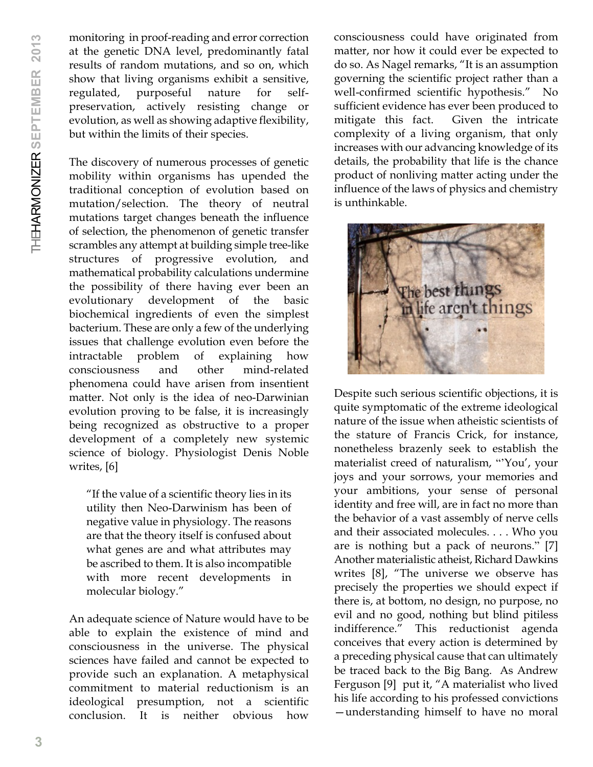monitoring in proof-reading and error correction at the genetic DNA level, predominantly fatal results of random mutations, and so on, which show that living organisms exhibit a sensitive, regulated, purposeful nature for selfpreservation, actively resisting change or evolution, as well as showing adaptive flexibility, but within the limits of their species.

The discovery of numerous processes of genetic mobility within organisms has upended the traditional conception of evolution based on mutation/selection. The theory of neutral mutations target changes beneath the influence of selection, the phenomenon of genetic transfer scrambles any attempt at building simple tree-like structures of progressive evolution, and mathematical probability calculations undermine the possibility of there having ever been an evolutionary development of the basic biochemical ingredients of even the simplest bacterium. These are only a few of the underlying issues that challenge evolution even before the intractable problem of explaining how consciousness and other mind-related phenomena could have arisen from insentient matter. Not only is the idea of neo-Darwinian evolution proving to be false, it is increasingly being recognized as obstructive to a proper development of a completely new systemic science of biology. Physiologist Denis Noble writes, [6]

"If the value of a scientific theory lies in its utility then Neo-Darwinism has been of negative value in physiology. The reasons are that the theory itself is confused about what genes are and what attributes may be ascribed to them. It is also incompatible with more recent developments in molecular biology."

An adequate science of Nature would have to be able to explain the existence of mind and consciousness in the universe. The physical sciences have failed and cannot be expected to provide such an explanation. A metaphysical commitment to material reductionism is an ideological presumption, not a scientific conclusion. It is neither obvious how

consciousness could have originated from matter, nor how it could ever be expected to do so. As Nagel remarks, "It is an assumption governing the scientific project rather than a well-confirmed scientific hypothesis." No sufficient evidence has ever been produced to mitigate this fact. Given the intricate complexity of a living organism, that only increases with our advancing knowledge of its details, the probability that life is the chance product of nonliving matter acting under the influence of the laws of physics and chemistry is unthinkable.



Despite such serious scientific objections, it is quite symptomatic of the extreme ideological nature of the issue when atheistic scientists of the stature of Francis Crick, for instance, nonetheless brazenly seek to establish the materialist creed of naturalism, "'You', your joys and your sorrows, your memories and your ambitions, your sense of personal identity and free will, are in fact no more than the behavior of a vast assembly of nerve cells and their associated molecules. . . . Who you are is nothing but a pack of neurons." [7] Another materialistic atheist, Richard Dawkins writes [8], "The universe we observe has precisely the properties we should expect if there is, at bottom, no design, no purpose, no evil and no good, nothing but blind pitiless indifference." This reductionist agenda conceives that every action is determined by a preceding physical cause that can ultimately be traced back to the Big Bang. As Andrew Ferguson [9] put it, "A materialist who lived his life according to his professed convictions —understanding himself to have no moral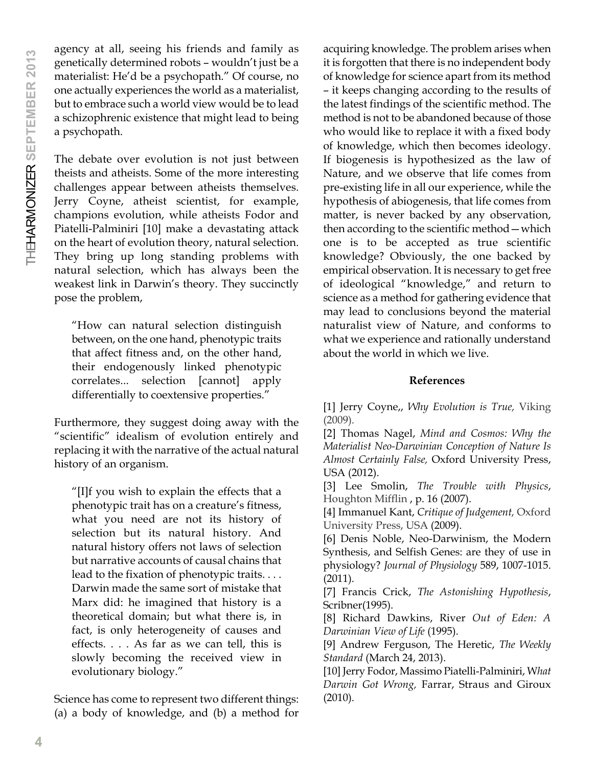agency at all, seeing his friends and family as genetically determined robots – wouldn't just be a materialist: He'd be a psychopath." Of course, no one actually experiences the world as a materialist, but to embrace such a world view would be to lead a schizophrenic existence that might lead to being a psychopath.

The debate over evolution is not just between theists and atheists. Some of the more interesting challenges appear between atheists themselves. Jerry Coyne, atheist scientist, for example, champions evolution, while atheists Fodor and Piatelli-Palminiri [10] make a devastating attack on the heart of evolution theory, natural selection. They bring up long standing problems with natural selection, which has always been the weakest link in Darwin's theory. They succinctly pose the problem,

"How can natural selection distinguish between, on the one hand, phenotypic traits that affect fitness and, on the other hand, their endogenously linked phenotypic correlates... selection [cannot] apply differentially to coextensive properties."

Furthermore, they suggest doing away with the "scientific" idealism of evolution entirely and replacing it with the narrative of the actual natural history of an organism.

"[I]f you wish to explain the effects that a phenotypic trait has on a creature's fitness, what you need are not its history of selection but its natural history. And natural history offers not laws of selection but narrative accounts of causal chains that lead to the fixation of phenotypic traits. . . . Darwin made the same sort of mistake that Marx did: he imagined that history is a theoretical domain; but what there is, in fact, is only heterogeneity of causes and effects. . . . As far as we can tell, this is slowly becoming the received view in evolutionary biology."

Science has come to represent two different things: (a) a body of knowledge, and (b) a method for

acquiring knowledge. The problem arises when it is forgotten that there is no independent body of knowledge for science apart from its method – it keeps changing according to the results of the latest findings of the scientific method. The method is not to be abandoned because of those who would like to replace it with a fixed body of knowledge, which then becomes ideology. If biogenesis is hypothesized as the law of Nature, and we observe that life comes from pre-existing life in all our experience, while the hypothesis of abiogenesis, that life comes from matter, is never backed by any observation, then according to the scientific method—which one is to be accepted as true scientific knowledge? Obviously, the one backed by empirical observation. It is necessary to get free of ideological "knowledge," and return to science as a method for gathering evidence that may lead to conclusions beyond the material naturalist view of Nature, and conforms to what we experience and rationally understand about the world in which we live.

# **References**

[1] Jerry Coyne,, *Why Evolution is True,* Viking (2009).

[2] Thomas Nagel, *Mind and Cosmos: Why the Materialist Neo-Darwinian Conception of Nature Is Almost Certainly False,* Oxford University Press, USA (2012).

[3] Lee Smolin, *The Trouble with Physics*, Houghton Mifflin , p. 16 (2007).

[4] Immanuel Kant, *Critique of Judgement,* Oxford University Press, USA (2009).

[6] Denis Noble, Neo-Darwinism, the Modern Synthesis, and Selfish Genes: are they of use in physiology? *Journal of Physiology* 589, 1007-1015. (2011).

[7] Francis Crick, *The Astonishing Hypothesis*, Scribner(1995).

[8] Richard Dawkins, River *Out of Eden: A Darwinian View of Life* (1995).

[9] Andrew Ferguson, The Heretic, *The Weekly Standard* (March 24, 2013).

[10] Jerry Fodor, Massimo Piatelli-Palminiri, W*hat Darwin Got Wrong,* Farrar, Straus and Giroux (2010).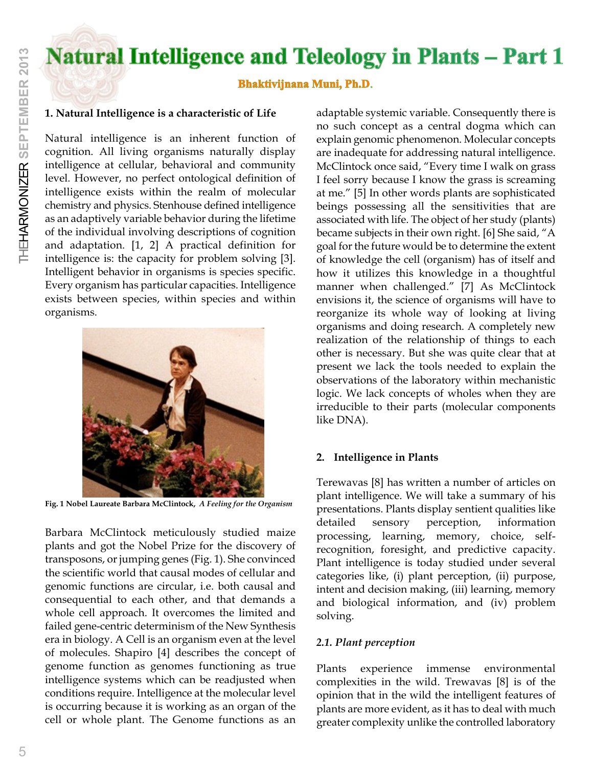# **Natural Intelligence and Teleology in Plants - Part 1**

# **Bhaktivijnana Muni, Ph.D**.

# **1. Natural Intelligence is a characteristic of Life**

Natural intelligence is an inherent function of cognition. All living organisms naturally display intelligence at cellular, behavioral and community level. However, no perfect ontological definition of intelligence exists within the realm of molecular chemistry and physics. Stenhouse defined intelligence as an adaptively variable behavior during the lifetime of the individual involving descriptions of cognition and adaptation. [1, 2] A practical definition for intelligence is: the capacity for problem solving [3]. Intelligent behavior in organisms is species specific. Every organism has particular capacities. Intelligence exists between species, within species and within organisms.



**Fig. 1 Nobel Laureate Barbara McClintock,** *A Feeling for the Organism*

Barbara McClintock meticulously studied maize plants and got the Nobel Prize for the discovery of transposons, or jumping genes (Fig. 1). She convinced the scientific world that causal modes of cellular and genomic functions are circular, i.e. both causal and consequential to each other, and that demands a whole cell approach. It overcomes the limited and failed gene-centric determinism of the New Synthesis era in biology. A Cell is an organism even at the level of molecules. Shapiro [4] describes the concept of genome function as genomes functioning as true intelligence systems which can be readjusted when conditions require. Intelligence at the molecular level is occurring because it is working as an organ of the cell or whole plant. The Genome functions as an

adaptable systemic variable. Consequently there is no such concept as a central dogma which can explain genomic phenomenon. Molecular concepts are inadequate for addressing natural intelligence. McClintock once said, "Every time I walk on grass I feel sorry because I know the grass is screaming at me." [5] In other words plants are sophisticated beings possessing all the sensitivities that are associated with life. The object of her study (plants) became subjects in their own right. [6] She said, "A goal for the future would be to determine the extent of knowledge the cell (organism) has of itself and how it utilizes this knowledge in a thoughtful manner when challenged." [7] As McClintock envisions it, the science of organisms will have to reorganize its whole way of looking at living organisms and doing research. A completely new realization of the relationship of things to each other is necessary. But she was quite clear that at present we lack the tools needed to explain the observations of the laboratory within mechanistic logic. We lack concepts of wholes when they are irreducible to their parts (molecular components like DNA).

# **2. Intelligence in Plants**

Terewavas [8] has written a number of articles on plant intelligence. We will take a summary of his presentations. Plants display sentient qualities like detailed sensory perception, information processing, learning, memory, choice, selfrecognition, foresight, and predictive capacity. Plant intelligence is today studied under several categories like, (i) plant perception, (ii) purpose, intent and decision making, (iii) learning, memory and biological information, and (iv) problem solving.

# *2.1. Plant perception*

Plants experience immense environmental complexities in the wild. Trewavas [8] is of the opinion that in the wild the intelligent features of plants are more evident, as it has to deal with much greater complexity unlike the controlled laboratory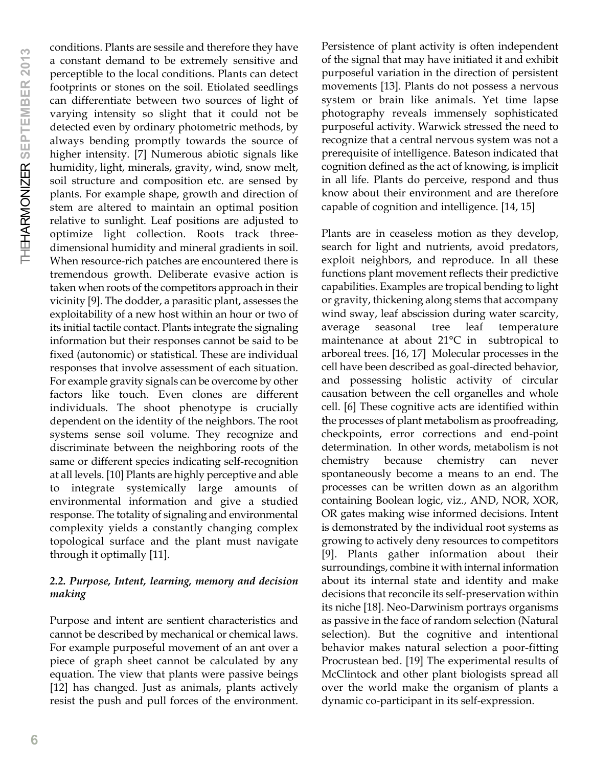conditions. Plants are sessile and therefore they have a constant demand to be extremely sensitive and perceptible to the local conditions. Plants can detect footprints or stones on the soil. Etiolated seedlings can differentiate between two sources of light of varying intensity so slight that it could not be detected even by ordinary photometric methods, by always bending promptly towards the source of higher intensity. [7] Numerous abiotic signals like humidity, light, minerals, gravity, wind, snow melt, soil structure and composition etc. are sensed by plants. For example shape, growth and direction of stem are altered to maintain an optimal position relative to sunlight. Leaf positions are adjusted to optimize light collection. Roots track threedimensional humidity and mineral gradients in soil. When resource-rich patches are encountered there is tremendous growth. Deliberate evasive action is taken when roots of the competitors approach in their vicinity [9]. The dodder, a parasitic plant, assesses the exploitability of a new host within an hour or two of its initial tactile contact. Plants integrate the signaling information but their responses cannot be said to be fixed (autonomic) or statistical. These are individual responses that involve assessment of each situation. For example gravity signals can be overcome by other factors like touch. Even clones are different individuals. The shoot phenotype is crucially dependent on the identity of the neighbors. The root systems sense soil volume. They recognize and discriminate between the neighboring roots of the same or different species indicating self-recognition at all levels. [10] Plants are highly perceptive and able to integrate systemically large amounts of environmental information and give a studied response. The totality of signaling and environmental complexity yields a constantly changing complex topological surface and the plant must navigate through it optimally [11].

# *2.2. Purpose, Intent, learning, memory and decision making*

Purpose and intent are sentient characteristics and cannot be described by mechanical or chemical laws. For example purposeful movement of an ant over a piece of graph sheet cannot be calculated by any equation. The view that plants were passive beings [12] has changed. Just as animals, plants actively resist the push and pull forces of the environment.

Persistence of plant activity is often independent of the signal that may have initiated it and exhibit purposeful variation in the direction of persistent movements [13]. Plants do not possess a nervous system or brain like animals. Yet time lapse photography reveals immensely sophisticated purposeful activity. Warwick stressed the need to recognize that a central nervous system was not a prerequisite of intelligence. Bateson indicated that cognition defined as the act of knowing, is implicit in all life. Plants do perceive, respond and thus know about their environment and are therefore capable of cognition and intelligence. [14, 15]

Plants are in ceaseless motion as they develop, search for light and nutrients, avoid predators, exploit neighbors, and reproduce. In all these functions plant movement reflects their predictive capabilities. Examples are tropical bending to light or gravity, thickening along stems that accompany wind sway, leaf abscission during water scarcity, average seasonal tree leaf temperature maintenance at about 21°C in subtropical to arboreal trees. [16, 17] Molecular processes in the cell have been described as goal-directed behavior, and possessing holistic activity of circular causation between the cell organelles and whole cell. [6] These cognitive acts are identified within the processes of plant metabolism as proofreading, checkpoints, error corrections and end-point determination. In other words, metabolism is not chemistry because chemistry can never spontaneously become a means to an end. The processes can be written down as an algorithm containing Boolean logic, viz., AND, NOR, XOR, OR gates making wise informed decisions. Intent is demonstrated by the individual root systems as growing to actively deny resources to competitors [9]. Plants gather information about their surroundings, combine it with internal information about its internal state and identity and make decisions that reconcile its self-preservation within its niche [18]. Neo-Darwinism portrays organisms as passive in the face of random selection (Natural selection). But the cognitive and intentional behavior makes natural selection a poor-fitting Procrustean bed. [19] The experimental results of McClintock and other plant biologists spread all over the world make the organism of plants a dynamic co-participant in its self-expression.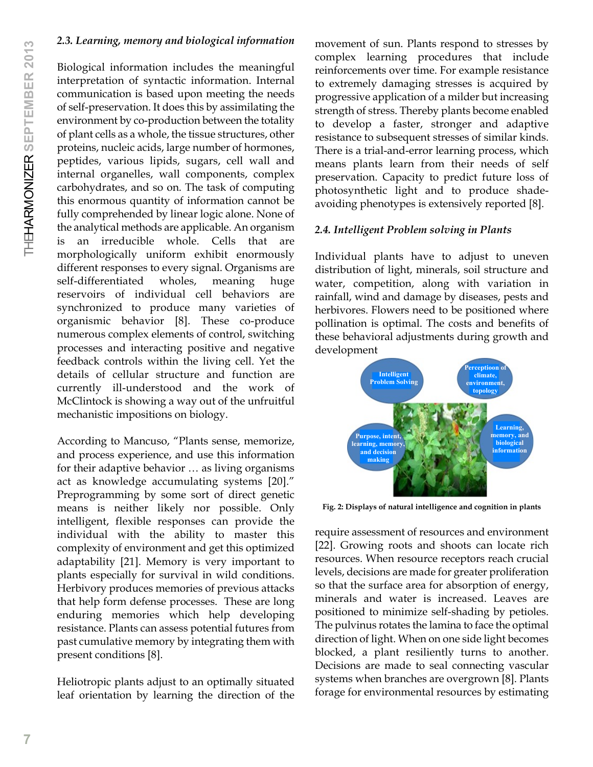# *2.3. Learning, memory and biological information*

Biological information includes the meaningful interpretation of syntactic information. Internal communication is based upon meeting the needs of self-preservation. It does this by assimilating the environment by co-production between the totality of plant cells as a whole, the tissue structures, other proteins, nucleic acids, large number of hormones, peptides, various lipids, sugars, cell wall and internal organelles, wall components, complex carbohydrates, and so on. The task of computing this enormous quantity of information cannot be fully comprehended by linear logic alone. None of the analytical methods are applicable. An organism is an irreducible whole. Cells that are morphologically uniform exhibit enormously different responses to every signal. Organisms are self-differentiated wholes, meaning huge reservoirs of individual cell behaviors are synchronized to produce many varieties of organismic behavior [8]. These co-produce numerous complex elements of control, switching processes and interacting positive and negative feedback controls within the living cell. Yet the details of cellular structure and function are currently ill-understood and the work of McClintock is showing a way out of the unfruitful mechanistic impositions on biology.

According to Mancuso, "Plants sense, memorize, and process experience, and use this information for their adaptive behavior … as living organisms act as knowledge accumulating systems [20]." Preprogramming by some sort of direct genetic means is neither likely nor possible. Only intelligent, flexible responses can provide the individual with the ability to master this complexity of environment and get this optimized adaptability [21]. Memory is very important to plants especially for survival in wild conditions. Herbivory produces memories of previous attacks that help form defense processes. These are long enduring memories which help developing resistance. Plants can assess potential futures from past cumulative memory by integrating them with present conditions [8].

Heliotropic plants adjust to an optimally situated leaf orientation by learning the direction of the movement of sun. Plants respond to stresses by complex learning procedures that include reinforcements over time. For example resistance to extremely damaging stresses is acquired by progressive application of a milder but increasing strength of stress. Thereby plants become enabled to develop a faster, stronger and adaptive resistance to subsequent stresses of similar kinds. There is a trial-and-error learning process, which means plants learn from their needs of self preservation. Capacity to predict future loss of photosynthetic light and to produce shadeavoiding phenotypes is extensively reported [8].

# *2.4. Intelligent Problem solving in Plants*

Individual plants have to adjust to uneven distribution of light, minerals, soil structure and water, competition, along with variation in rainfall, wind and damage by diseases, pests and herbivores. Flowers need to be positioned where pollination is optimal. The costs and benefits of these behavioral adjustments during growth and development



**Fig. 2: Displays of natural intelligence and cognition in plants**

require assessment of resources and environment [22]. Growing roots and shoots can locate rich resources. When resource receptors reach crucial levels, decisions are made for greater proliferation so that the surface area for absorption of energy, minerals and water is increased. Leaves are positioned to minimize self-shading by petioles. The pulvinus rotates the lamina to face the optimal direction of light. When on one side light becomes blocked, a plant resiliently turns to another. Decisions are made to seal connecting vascular systems when branches are overgrown [8]. Plants forage for environmental resources by estimating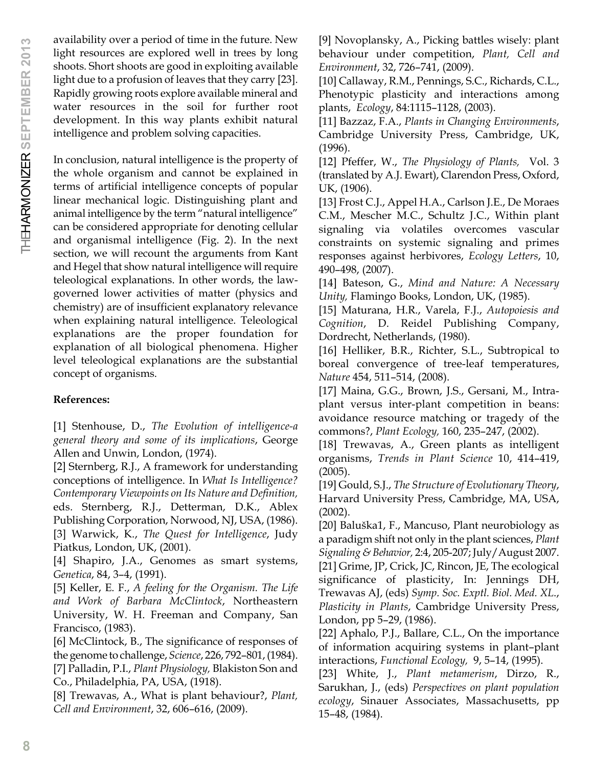availability over a period of time in the future. New light resources are explored well in trees by long shoots. Short shoots are good in exploiting available light due to a profusion of leaves that they carry [23]. Rapidly growing roots explore available mineral and water resources in the soil for further root development. In this way plants exhibit natural intelligence and problem solving capacities.

In conclusion, natural intelligence is the property of the whole organism and cannot be explained in terms of artificial intelligence concepts of popular linear mechanical logic. Distinguishing plant and animal intelligence by the term "natural intelligence" can be considered appropriate for denoting cellular and organismal intelligence (Fig. 2). In the next section, we will recount the arguments from Kant and Hegel that show natural intelligence will require teleological explanations. In other words, the lawgoverned lower activities of matter (physics and chemistry) are of insufficient explanatory relevance when explaining natural intelligence. Teleological explanations are the proper foundation for explanation of all biological phenomena. Higher level teleological explanations are the substantial concept of organisms.

# **References:**

[1] Stenhouse, D., *The Evolution of intelligence-a general theory and some of its implications*, George Allen and Unwin, London, (1974).

[2] Sternberg, R.J., A framework for understanding conceptions of intelligence. In *What Is Intelligence? Contemporary Viewpoints on Its Nature and Definition,* eds. Sternberg, R.J., Detterman, D.K., Ablex Publishing Corporation, Norwood, NJ, USA, (1986). [3] Warwick, K., *The Quest for Intelligence*, Judy Piatkus, London, UK, (2001).

[4] Shapiro, J.A., Genomes as smart systems, *Genetica*, 84, 3–4, (1991).

[5] Keller, E. F., *A feeling for the Organism. The Life and Work of Barbara McClintock*, Northeastern University, W. H. Freeman and Company, San Francisco, (1983).

[6] McClintock, B., The significance of responses of the genome to challenge, *Science*, 226, 792–801, (1984). [7] Palladin, P.I., *Plant Physiology,* Blakiston Son and Co., Philadelphia, PA, USA, (1918).

[8] Trewavas, A., What is plant behaviour?, *Plant, Cell and Environment*, 32, 606–616, (2009).

[9] Novoplansky, A., Picking battles wisely: plant behaviour under competition, *Plant, Cell and Environment*, 32, 726–741, (2009).

[10] Callaway, R.M., Pennings, S.C., Richards, C.L., Phenotypic plasticity and interactions among plants, *Ecology*, 84:1115–1128, (2003).

[11] Bazzaz, F.A., *Plants in Changing Environments*, Cambridge University Press, Cambridge, UK, (1996).

[12] Pfeffer, W., *The Physiology of Plants,* Vol. 3 (translated by A.J. Ewart), Clarendon Press, Oxford, UK, (1906).

[13] Frost C.J., Appel H.A., Carlson J.E., De Moraes C.M., Mescher M.C., Schultz J.C., Within plant signaling via volatiles overcomes vascular constraints on systemic signaling and primes responses against herbivores, *Ecology Letters*, 10, 490–498, (2007).

[14] Bateson, G., *Mind and Nature: A Necessary Unity,* Flamingo Books, London, UK, (1985).

[15] Maturana, H.R., Varela, F.J., *Autopoiesis and Cognition*, D. Reidel Publishing Company, Dordrecht, Netherlands, (1980).

[16] Helliker, B.R., Richter, S.L., Subtropical to boreal convergence of tree-leaf temperatures, *Nature* 454, 511–514, (2008).

[17] Maina, G.G., Brown, J.S., Gersani, M., Intraplant versus inter-plant competition in beans: avoidance resource matching or tragedy of the commons?, *Plant Ecology,* 160, 235–247, (2002).

[18] Trewavas, A., Green plants as intelligent organisms, *Trends in Plant Science* 10, 414–419, (2005).

[19] Gould, S.J., *The Structure of Evolutionary Theory*, Harvard University Press, Cambridge, MA, USA, (2002).

[20] Baluška1, F., Mancuso, Plant neurobiology as a paradigm shift not only in the plant sciences, *Plant Signaling & Behavior,* 2:4, 205-207; July/August 2007. [21] Grime, JP, Crick, JC, Rincon, JE, The ecological significance of plasticity, In: Jennings DH, Trewavas AJ, (eds) *Symp. Soc. Exptl. Biol. Med. XL*., *Plasticity in Plants*, Cambridge University Press, London, pp 5–29, (1986).

[22] Aphalo, P.J., Ballare, C.L., On the importance of information acquiring systems in plant–plant interactions, *Functional Ecology,* 9, 5–14, (1995).

[23] White, J., *Plant metamerism*, Dirzo, R., Sarukhan, J., (eds) *Perspectives on plant population ecology*, Sinauer Associates, Massachusetts, pp 15–48, (1984).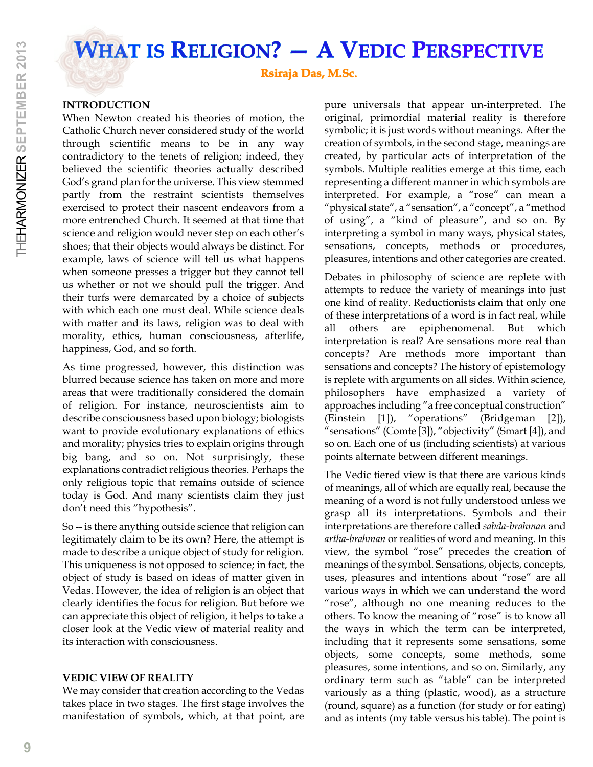**WHAT IS RELIGION? — A VEDIC PERSPECTIVE**

**Rsiraja Das, M.Sc**.

# **INTRODUCTION**

When Newton created his theories of motion, the Catholic Church never considered study of the world through scientific means to be in any way contradictory to the tenets of religion; indeed, they believed the scientific theories actually described God's grand plan for the universe. This view stemmed partly from the restraint scientists themselves exercised to protect their nascent endeavors from a more entrenched Church. It seemed at that time that science and religion would never step on each other's shoes; that their objects would always be distinct. For example, laws of science will tell us what happens when someone presses a trigger but they cannot tell us whether or not we should pull the trigger. And their turfs were demarcated by a choice of subjects with which each one must deal. While science deals with matter and its laws, religion was to deal with morality, ethics, human consciousness, afterlife, happiness, God, and so forth.

As time progressed, however, this distinction was blurred because science has taken on more and more areas that were traditionally considered the domain of religion. For instance, neuroscientists aim to describe consciousness based upon biology; biologists want to provide evolutionary explanations of ethics and morality; physics tries to explain origins through big bang, and so on. Not surprisingly, these explanations contradict religious theories. Perhaps the only religious topic that remains outside of science today is God. And many scientists claim they just don't need this "hypothesis".

So -- is there anything outside science that religion can legitimately claim to be its own? Here, the attempt is made to describe a unique object of study for religion. This uniqueness is not opposed to science; in fact, the object of study is based on ideas of matter given in Vedas. However, the idea of religion is an object that clearly identifies the focus for religion. But before we can appreciate this object of religion, it helps to take a closer look at the Vedic view of material reality and its interaction with consciousness.

# **VEDIC VIEW OF REALITY**

We may consider that creation according to the Vedas takes place in two stages. The first stage involves the manifestation of symbols, which, at that point, are pure universals that appear un-interpreted. The original, primordial material reality is therefore symbolic; it is just words without meanings. After the creation of symbols, in the second stage, meanings are created, by particular acts of interpretation of the symbols. Multiple realities emerge at this time, each representing a different manner in which symbols are interpreted. For example, a "rose" can mean a "physical state", a "sensation", a "concept", a "method of using", a "kind of pleasure", and so on. By interpreting a symbol in many ways, physical states, sensations, concepts, methods or procedures, pleasures, intentions and other categories are created.

Debates in philosophy of science are replete with attempts to reduce the variety of meanings into just one kind of reality. Reductionists claim that only one of these interpretations of a word is in fact real, while all others are epiphenomenal. But which interpretation is real? Are sensations more real than concepts? Are methods more important than sensations and concepts? The history of epistemology is replete with arguments on all sides. Within science, philosophers have emphasized a variety of approaches including "a free conceptual construction" (Einstein [1]), "operations" (Bridgeman [2]), "sensations" (Comte [3]), "objectivity" (Smart [4]), and so on. Each one of us (including scientists) at various points alternate between different meanings.

The Vedic tiered view is that there are various kinds of meanings, all of which are equally real, because the meaning of a word is not fully understood unless we grasp all its interpretations. Symbols and their interpretations are therefore called *sabda-brahman* and *artha-brahman* or realities of word and meaning. In this view, the symbol "rose" precedes the creation of meanings of the symbol. Sensations, objects, concepts, uses, pleasures and intentions about "rose" are all various ways in which we can understand the word "rose", although no one meaning reduces to the others. To know the meaning of "rose" is to know all the ways in which the term can be interpreted, including that it represents some sensations, some objects, some concepts, some methods, some pleasures, some intentions, and so on. Similarly, any ordinary term such as "table" can be interpreted variously as a thing (plastic, wood), as a structure (round, square) as a function (for study or for eating) and as intents (my table versus his table). The point is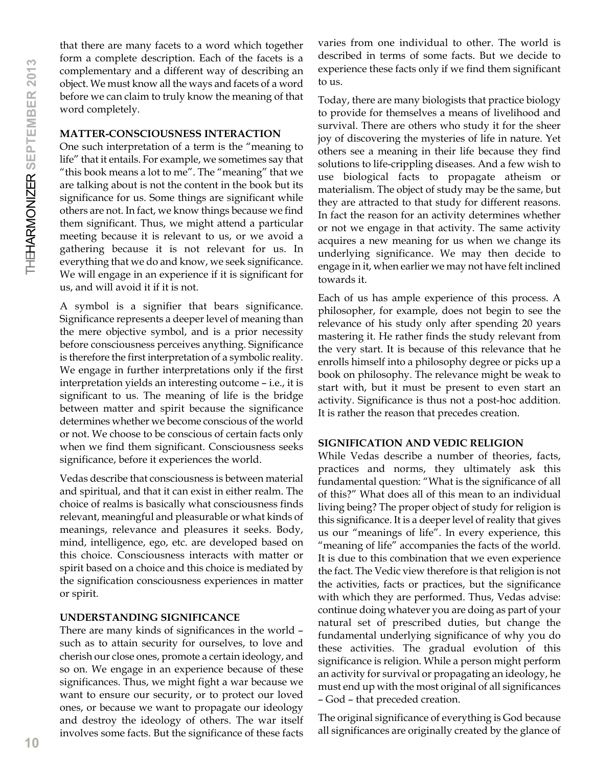that there are many facets to a word which together form a complete description. Each of the facets is a complementary and a different way of describing an object. We must know all the ways and facets of a word before we can claim to truly know the meaning of that word completely.

#### **MATTER-CONSCIOUSNESS INTERACTION**

One such interpretation of a term is the "meaning to life" that it entails. For example, we sometimes say that "this book means a lot to me". The "meaning" that we are talking about is not the content in the book but its significance for us. Some things are significant while others are not. In fact, we know things because we find them significant. Thus, we might attend a particular meeting because it is relevant to us, or we avoid a gathering because it is not relevant for us. In everything that we do and know, we seek significance. We will engage in an experience if it is significant for us, and will avoid it if it is not.

A symbol is a signifier that bears significance. Significance represents a deeper level of meaning than the mere objective symbol, and is a prior necessity before consciousness perceives anything. Significance is therefore the first interpretation of a symbolic reality. We engage in further interpretations only if the first interpretation yields an interesting outcome – i.e., it is significant to us. The meaning of life is the bridge between matter and spirit because the significance determines whether we become conscious of the world or not. We choose to be conscious of certain facts only when we find them significant. Consciousness seeks significance, before it experiences the world.

Vedas describe that consciousness is between material and spiritual, and that it can exist in either realm. The choice of realms is basically what consciousness finds relevant, meaningful and pleasurable or what kinds of meanings, relevance and pleasures it seeks. Body, mind, intelligence, ego, etc. are developed based on this choice. Consciousness interacts with matter or spirit based on a choice and this choice is mediated by the signification consciousness experiences in matter or spirit.

# **UNDERSTANDING SIGNIFICANCE**

There are many kinds of significances in the world – such as to attain security for ourselves, to love and cherish our close ones, promote a certain ideology, and so on. We engage in an experience because of these significances. Thus, we might fight a war because we want to ensure our security, or to protect our loved ones, or because we want to propagate our ideology and destroy the ideology of others. The war itself involves some facts. But the significance of these facts

varies from one individual to other. The world is described in terms of some facts. But we decide to experience these facts only if we find them significant to us.

Today, there are many biologists that practice biology to provide for themselves a means of livelihood and survival. There are others who study it for the sheer joy of discovering the mysteries of life in nature. Yet others see a meaning in their life because they find solutions to life-crippling diseases. And a few wish to use biological facts to propagate atheism or materialism. The object of study may be the same, but they are attracted to that study for different reasons. In fact the reason for an activity determines whether or not we engage in that activity. The same activity acquires a new meaning for us when we change its underlying significance. We may then decide to engage in it, when earlier we may not have felt inclined towards it.

Each of us has ample experience of this process. A philosopher, for example, does not begin to see the relevance of his study only after spending 20 years mastering it. He rather finds the study relevant from the very start. It is because of this relevance that he enrolls himself into a philosophy degree or picks up a book on philosophy. The relevance might be weak to start with, but it must be present to even start an activity. Significance is thus not a post-hoc addition. It is rather the reason that precedes creation.

# **SIGNIFICATION AND VEDIC RELIGION**

While Vedas describe a number of theories, facts, practices and norms, they ultimately ask this fundamental question: "What is the significance of all of this?" What does all of this mean to an individual living being? The proper object of study for religion is this significance. It is a deeper level of reality that gives us our "meanings of life". In every experience, this "meaning of life" accompanies the facts of the world. It is due to this combination that we even experience the fact. The Vedic view therefore is that religion is not the activities, facts or practices, but the significance with which they are performed. Thus, Vedas advise: continue doing whatever you are doing as part of your natural set of prescribed duties, but change the fundamental underlying significance of why you do these activities. The gradual evolution of this significance is religion. While a person might perform an activity for survival or propagating an ideology, he must end up with the most original of all significances – God – that preceded creation.

The original significance of everything is God because all significances are originally created by the glance of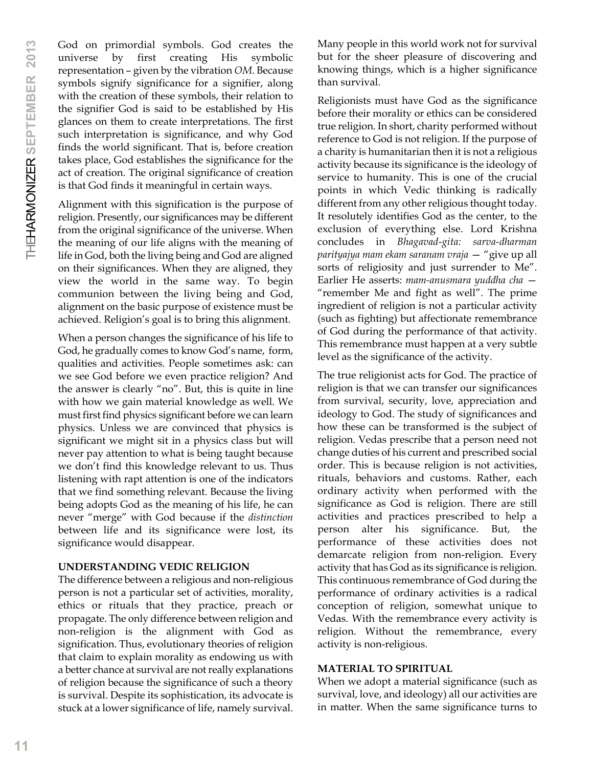God on primordial symbols. God creates the universe by first creating His symbolic representation – given by the vibration *OM*. Because symbols signify significance for a signifier, along with the creation of these symbols, their relation to the signifier God is said to be established by His glances on them to create interpretations. The first such interpretation is significance, and why God finds the world significant. That is, before creation takes place, God establishes the significance for the act of creation. The original significance of creation is that God finds it meaningful in certain ways.

Alignment with this signification is the purpose of religion. Presently, our significances may be different from the original significance of the universe. When the meaning of our life aligns with the meaning of life in God, both the living being and God are aligned on their significances. When they are aligned, they view the world in the same way. To begin communion between the living being and God, alignment on the basic purpose of existence must be achieved. Religion's goal is to bring this alignment.

When a person changes the significance of his life to God, he gradually comes to know God's name, form, qualities and activities. People sometimes ask: can we see God before we even practice religion? And the answer is clearly "no". But, this is quite in line with how we gain material knowledge as well. We must first find physics significant before we can learn physics. Unless we are convinced that physics is significant we might sit in a physics class but will never pay attention to what is being taught because we don't find this knowledge relevant to us. Thus listening with rapt attention is one of the indicators that we find something relevant. Because the living being adopts God as the meaning of his life, he can never "merge" with God because if the *distinction* between life and its significance were lost, its significance would disappear.

# **UNDERSTANDING VEDIC RELIGION**

The difference between a religious and non-religious person is not a particular set of activities, morality, ethics or rituals that they practice, preach or propagate. The only difference between religion and non-religion is the alignment with God as signification. Thus, evolutionary theories of religion that claim to explain morality as endowing us with a better chance at survival are not really explanations of religion because the significance of such a theory is survival. Despite its sophistication, its advocate is stuck at a lower significance of life, namely survival.

Many people in this world work not for survival but for the sheer pleasure of discovering and knowing things, which is a higher significance than survival.

Religionists must have God as the significance before their morality or ethics can be considered true religion. In short, charity performed without reference to God is not religion. If the purpose of a charity is humanitarian then it is not a religious activity because its significance is the ideology of service to humanity. This is one of the crucial points in which Vedic thinking is radically different from any other religious thought today. It resolutely identifies God as the center, to the exclusion of everything else. Lord Krishna concludes in *Bhagavad-gita: sarva-dharman parityajya mam ekam saranam vraja* — "give up all sorts of religiosity and just surrender to Me". Earlier He asserts: *mam-anusmara yuddha cha* — "remember Me and fight as well". The prime ingredient of religion is not a particular activity (such as fighting) but affectionate remembrance of God during the performance of that activity. This remembrance must happen at a very subtle level as the significance of the activity.

The true religionist acts for God. The practice of religion is that we can transfer our significances from survival, security, love, appreciation and ideology to God. The study of significances and how these can be transformed is the subject of religion. Vedas prescribe that a person need not change duties of his current and prescribed social order. This is because religion is not activities, rituals, behaviors and customs. Rather, each ordinary activity when performed with the significance as God is religion. There are still activities and practices prescribed to help a person alter his significance. But, the performance of these activities does not demarcate religion from non-religion. Every activity that has God as its significance is religion. This continuous remembrance of God during the performance of ordinary activities is a radical conception of religion, somewhat unique to Vedas. With the remembrance every activity is religion. Without the remembrance, every activity is non-religious.

# **MATERIAL TO SPIRITUAL**

When we adopt a material significance (such as survival, love, and ideology) all our activities are in matter. When the same significance turns to